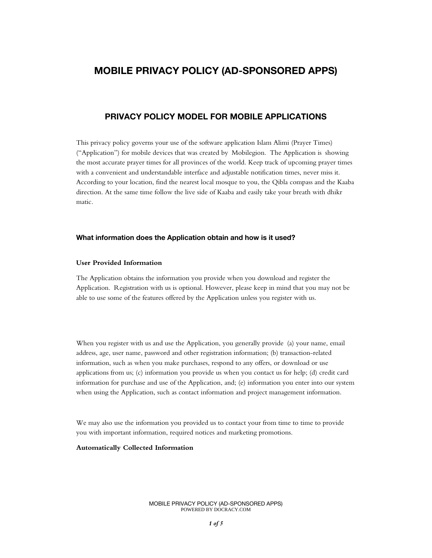# **MOBILE PRIVACY POLICY (AD-SPONSORED APPS)**

# **PRIVACY POLICY MODEL FOR MOBILE APPLICATIONS**

This privacy policy governs your use of the software application Islam Alimi (Prayer Times) ("Application") for mobile devices that was created by Mobilegion. The Application is showing the most accurate prayer times for all provinces of the world. Keep track of upcoming prayer times with a convenient and understandable interface and adjustable notification times, never miss it. According to your location, find the nearest local mosque to you, the Qibla compass and the Kaaba direction. At the same time follow the live side of Kaaba and easily take your breath with dhikr matic.

#### **What information does the Application obtain and how is it used?**

## **User Provided Information**

The Application obtains the information you provide when you download and register the Application. Registration with us is optional. However, please keep in mind that you may not be able to use some of the features offered by the Application unless you register with us.

When you register with us and use the Application, you generally provide (a) your name, email address, age, user name, password and other registration information; (b) transaction-related information, such as when you make purchases, respond to any offers, or download or use applications from us; (c) information you provide us when you contact us for help; (d) credit card information for purchase and use of the Application, and; (e) information you enter into our system when using the Application, such as contact information and project management information.

We may also use the information you provided us to contact your from time to time to provide you with important information, required notices and marketing promotions.

#### **Automatically Collected Information**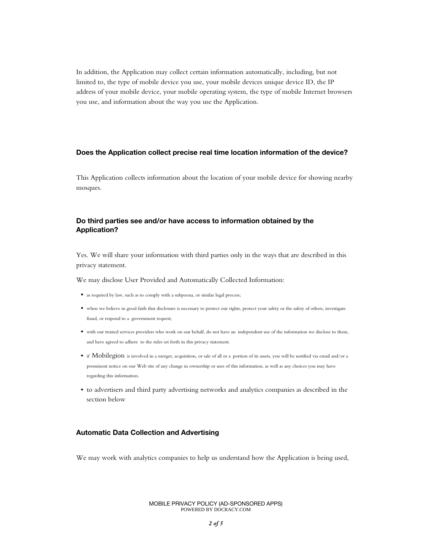In addition, the Application may collect certain information automatically, including, but not limited to, the type of mobile device you use, your mobile devices unique device ID, the IP address of your mobile device, your mobile operating system, the type of mobile Internet browsers you use, and information about the way you use the Application.

#### **Does the Application collect precise real time location information of the device?**

This Application collects information about the location of your mobile device for showing nearby mosques.

# **Do third parties see and/or have access to information obtained by the Application?**

Yes. We will share your information with third parties only in the ways that are described in this privacy statement.

We may disclose User Provided and Automatically Collected Information:

- as required by law, such as to comply with a subpoena, or similar legal process;
- when we believe in good faith that disclosure is necessary to protect our rights, protect your safety or the safety of others, investigate fraud, or respond to a government request;
- with our trusted services providers who work on our behalf, do not have an independent use of the information we disclose to them, and have agreed to adhere to the rules set forth in this privacy statement.
- if Mobilegion is involved in a merger, acquisition, or sale of all or a portion of its assets, you will be notified via email and/or a prominent notice on our Web site of any change in ownership or uses of this information, as well as any choices you may have regarding this information.
- to advertisers and third party advertising networks and analytics companies as described in the section below

#### **Automatic Data Collection and Advertising**

We may work with analytics companies to help us understand how the Application is being used,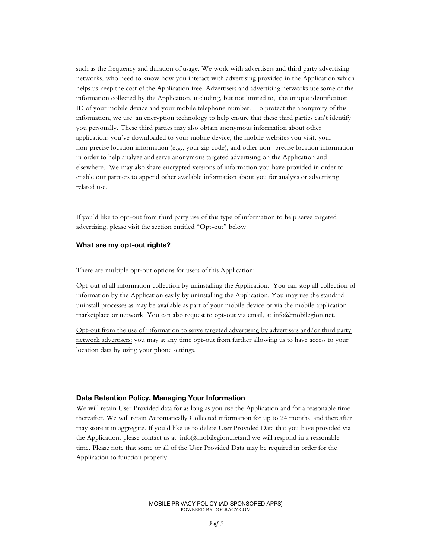such as the frequency and duration of usage. We work with advertisers and third party advertising networks, who need to know how you interact with advertising provided in the Application which helps us keep the cost of the Application free. Advertisers and advertising networks use some of the information collected by the Application, including, but not limited to, the unique identification ID of your mobile device and your mobile telephone number. To protect the anonymity of this information, we use an encryption technology to help ensure that these third parties can't identify you personally. These third parties may also obtain anonymous information about other applications you've downloaded to your mobile device, the mobile websites you visit, your non-precise location information (e.g., your zip code), and other non- precise location information in order to help analyze and serve anonymous targeted advertising on the Application and elsewhere. We may also share encrypted versions of information you have provided in order to enable our partners to append other available information about you for analysis or advertising related use.

If you'd like to opt-out from third party use of this type of information to help serve targeted advertising, please visit the section entitled "Opt-out" below.

# **What are my opt-out rights?**

There are multiple opt-out options for users of this Application:

Opt-out of all information collection by uninstalling the Application: You can stop all collection of information by the Application easily by uninstalling the Application. You may use the standard uninstall processes as may be available as part of your mobile device or via the mobile application marketplace or network. You can also request to opt-out via email, at info@mobilegion.net.

Opt-out from the use of information to serve targeted advertising by advertisers and/or third party network advertisers: you may at any time opt-out from further allowing us to have access to your location data by using your phone settings.

#### **Data Retention Policy, Managing Your Information**

We will retain User Provided data for as long as you use the Application and for a reasonable time thereafter. We will retain Automatically Collected information for up to 24 months and thereafter may store it in aggregate. If you'd like us to delete User Provided Data that you have provided via the Application, please contact us at info@mobilegion.netand we will respond in a reasonable time. Please note that some or all of the User Provided Data may be required in order for the Application to function properly.